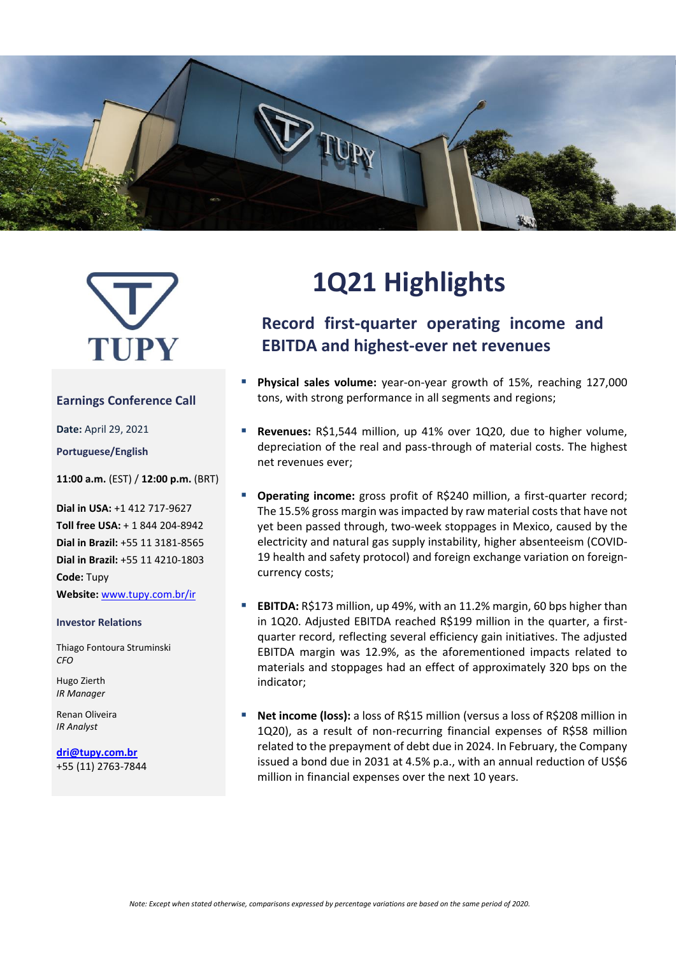



### **Earnings Conference Call**

**Date:** April 29, 2021

**Portuguese/English**

**11:00 a.m.** (EST) / **12:00 p.m.** (BRT)

**Dial in USA:** +1 412 717-9627 **Toll free USA:** + 1 844 204-8942 **Dial in Brazil:** +55 11 3181-8565 **Dial in Brazil:** +55 11 4210-1803 **Code:** Tupy

**Website:** [www.tupy.com.br/ir](http://www.tupy.com.br/ri)

#### **Investor Relations**

Thiago Fontoura Struminski *CFO*

Hugo Zierth *IR Manager*

Renan Oliveira *IR Analyst*

**[dri@tupy.com.br](mailto:dri@tupy.com.br)** +55 (11) 2763-7844

# **1Q21 Highlights**

# **Record first-quarter operating income and EBITDA and highest-ever net revenues**

- **Physical sales volume:** vear-on-year growth of 15%, reaching 127,000 tons, with strong performance in all segments and regions;
- **Revenues:** R\$1,544 million, up 41% over 1Q20, due to higher volume, depreciation of the real and pass-through of material costs. The highest net revenues ever;
- **Operating income:** gross profit of R\$240 million, a first-quarter record; The 15.5% gross margin was impacted by raw material costs that have not yet been passed through, two-week stoppages in Mexico, caused by the electricity and natural gas supply instability, higher absenteeism (COVID-19 health and safety protocol) and foreign exchange variation on foreigncurrency costs;
- **EBITDA:** R\$173 million, up 49%, with an 11.2% margin, 60 bps higher than in 1Q20. Adjusted EBITDA reached R\$199 million in the quarter, a firstquarter record, reflecting several efficiency gain initiatives. The adjusted EBITDA margin was 12.9%, as the aforementioned impacts related to materials and stoppages had an effect of approximately 320 bps on the indicator;
- **Net income (loss):** a loss of R\$15 million (versus a loss of R\$208 million in 1Q20), as a result of non-recurring financial expenses of R\$58 million related to the prepayment of debt due in 2024. In February, the Company issued a bond due in 2031 at 4.5% p.a., with an annual reduction of US\$6 million in financial expenses over the next 10 years.

*Note: Except when stated otherwise, comparisons expressed by percentage variations are based on the same period of 2020.*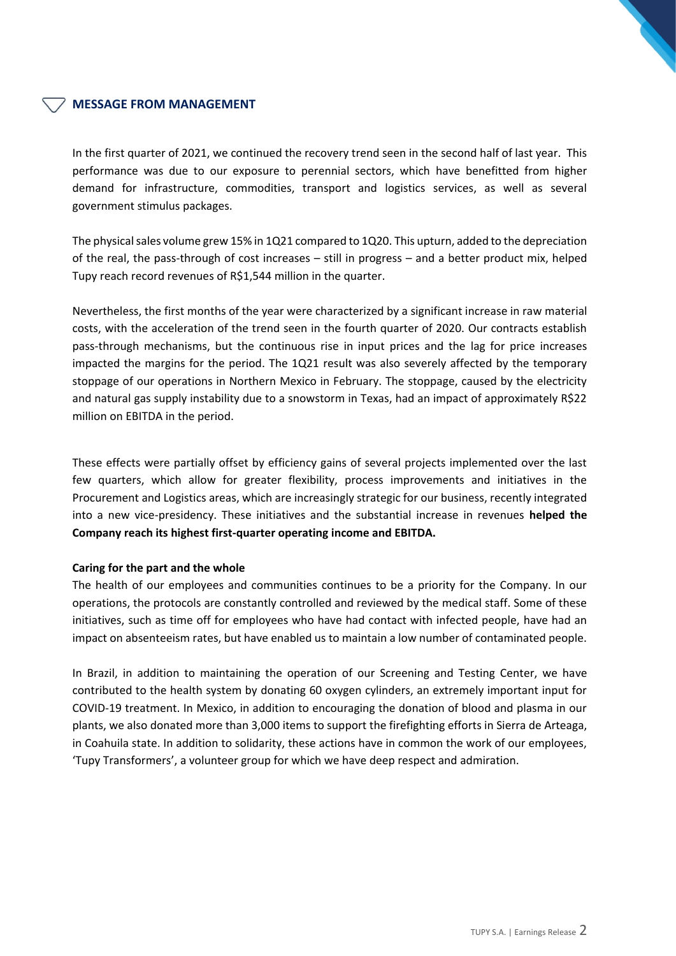## **MESSAGE FROM MANAGEMENT**

In the first quarter of 2021, we continued the recovery trend seen in the second half of last year. This performance was due to our exposure to perennial sectors, which have benefitted from higher demand for infrastructure, commodities, transport and logistics services, as well as several government stimulus packages.

The physical sales volume grew 15% in 1Q21 compared to 1Q20. This upturn, added to the depreciation of the real, the pass-through of cost increases – still in progress – and a better product mix, helped Tupy reach record revenues of R\$1,544 million in the quarter.

Nevertheless, the first months of the year were characterized by a significant increase in raw material costs, with the acceleration of the trend seen in the fourth quarter of 2020. Our contracts establish pass-through mechanisms, but the continuous rise in input prices and the lag for price increases impacted the margins for the period. The 1Q21 result was also severely affected by the temporary stoppage of our operations in Northern Mexico in February. The stoppage, caused by the electricity and natural gas supply instability due to a snowstorm in Texas, had an impact of approximately R\$22 million on EBITDA in the period.

These effects were partially offset by efficiency gains of several projects implemented over the last few quarters, which allow for greater flexibility, process improvements and initiatives in the Procurement and Logistics areas, which are increasingly strategic for our business, recently integrated into a new vice-presidency. These initiatives and the substantial increase in revenues **helped the Company reach its highest first-quarter operating income and EBITDA.** 

#### **Caring for the part and the whole**

The health of our employees and communities continues to be a priority for the Company. In our operations, the protocols are constantly controlled and reviewed by the medical staff. Some of these initiatives, such as time off for employees who have had contact with infected people, have had an impact on absenteeism rates, but have enabled us to maintain a low number of contaminated people.

In Brazil, in addition to maintaining the operation of our Screening and Testing Center, we have contributed to the health system by donating 60 oxygen cylinders, an extremely important input for COVID-19 treatment. In Mexico, in addition to encouraging the donation of blood and plasma in our plants, we also donated more than 3,000 items to support the firefighting efforts in Sierra de Arteaga, in Coahuila state. In addition to solidarity, these actions have in common the work of our employees, 'Tupy Transformers', a volunteer group for which we have deep respect and admiration.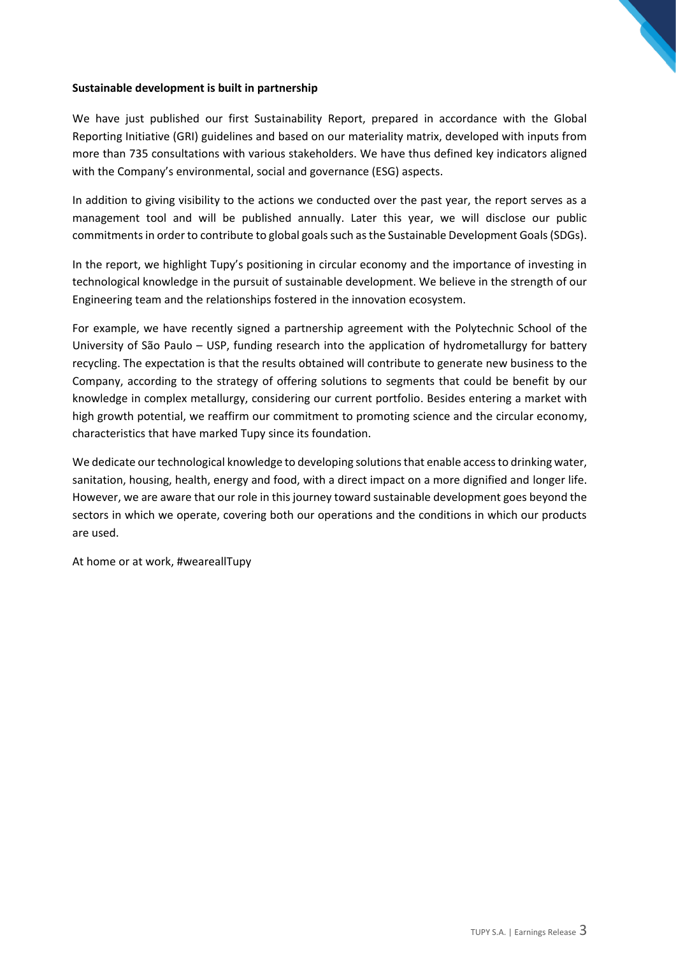#### **Sustainable development is built in partnership**

We have just published our first Sustainability Report, prepared in accordance with the Global Reporting Initiative (GRI) guidelines and based on our materiality matrix, developed with inputs from more than 735 consultations with various stakeholders. We have thus defined key indicators aligned with the Company's environmental, social and governance (ESG) aspects.

In addition to giving visibility to the actions we conducted over the past year, the report serves as a management tool and will be published annually. Later this year, we will disclose our public commitments in order to contribute to global goals such as the Sustainable Development Goals (SDGs).

In the report, we highlight Tupy's positioning in circular economy and the importance of investing in technological knowledge in the pursuit of sustainable development. We believe in the strength of our Engineering team and the relationships fostered in the innovation ecosystem.

For example, we have recently signed a partnership agreement with the Polytechnic School of the University of São Paulo – USP, funding research into the application of hydrometallurgy for battery recycling. The expectation is that the results obtained will contribute to generate new business to the Company, according to the strategy of offering solutions to segments that could be benefit by our knowledge in complex metallurgy, considering our current portfolio. Besides entering a market with high growth potential, we reaffirm our commitment to promoting science and the circular economy, characteristics that have marked Tupy since its foundation.

We dedicate our technological knowledge to developing solutions that enable access to drinking water, sanitation, housing, health, energy and food, with a direct impact on a more dignified and longer life. However, we are aware that our role in this journey toward sustainable development goes beyond the sectors in which we operate, covering both our operations and the conditions in which our products are used.

At home or at work, #weareallTupy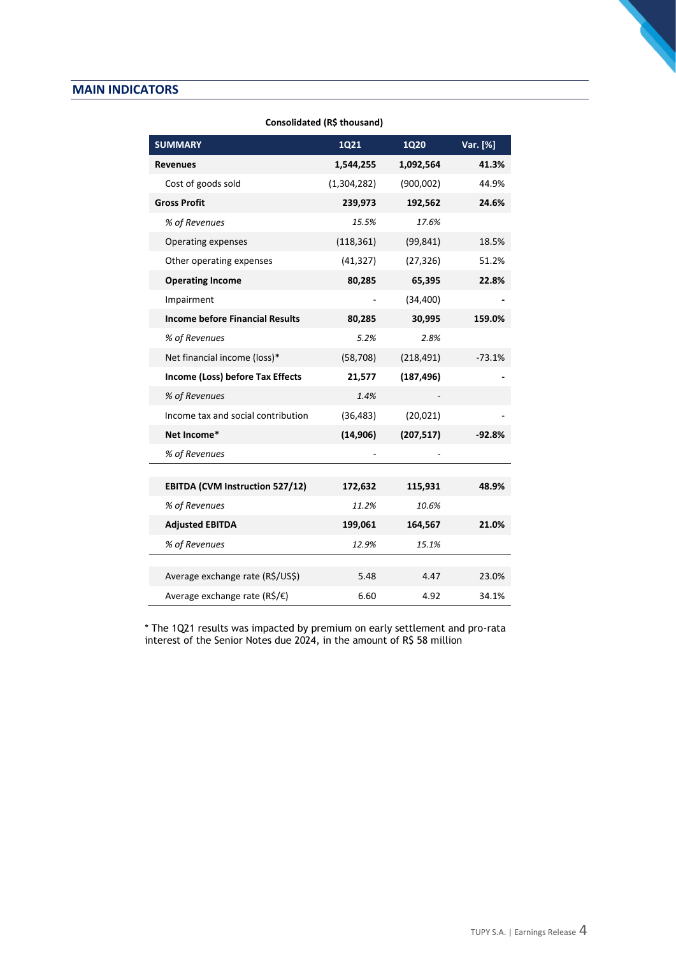#### **MAIN INDICATORS**

| 1Q21        | <b>1Q20</b>                                 | Var. [%]                         |
|-------------|---------------------------------------------|----------------------------------|
| 1,544,255   | 1,092,564                                   | 41.3%                            |
| (1,304,282) | (900,002)                                   | 44.9%                            |
| 239,973     | 192,562                                     | 24.6%                            |
| 15.5%       | 17.6%                                       |                                  |
| (118, 361)  | (99, 841)                                   | 18.5%                            |
| (41, 327)   | (27, 326)                                   | 51.2%                            |
| 80,285      | 65,395                                      | 22.8%                            |
|             | (34, 400)                                   |                                  |
| 80,285      | 30,995                                      | 159.0%                           |
| 5.2%        | 2.8%                                        |                                  |
| (58, 708)   | (218, 491)                                  | $-73.1%$                         |
| 21,577      | (187, 496)                                  |                                  |
| 1.4%        |                                             |                                  |
| (36, 483)   | (20, 021)                                   |                                  |
| (14, 906)   | (207, 517)                                  | $-92.8%$                         |
|             |                                             |                                  |
|             |                                             |                                  |
|             |                                             | 48.9%                            |
|             |                                             |                                  |
|             | 164,567                                     | 21.0%                            |
| 12.9%       | 15.1%                                       |                                  |
|             |                                             | 23.0%                            |
|             |                                             | 34.1%                            |
|             | 172,632<br>11.2%<br>199,061<br>5.48<br>6.60 | 115,931<br>10.6%<br>4.47<br>4.92 |

#### **Consolidated (R\$ thousand)**

\* The 1Q21 results was impacted by premium on early settlement and pro-rata interest of the Senior Notes due 2024, in the amount of R\$ 58 million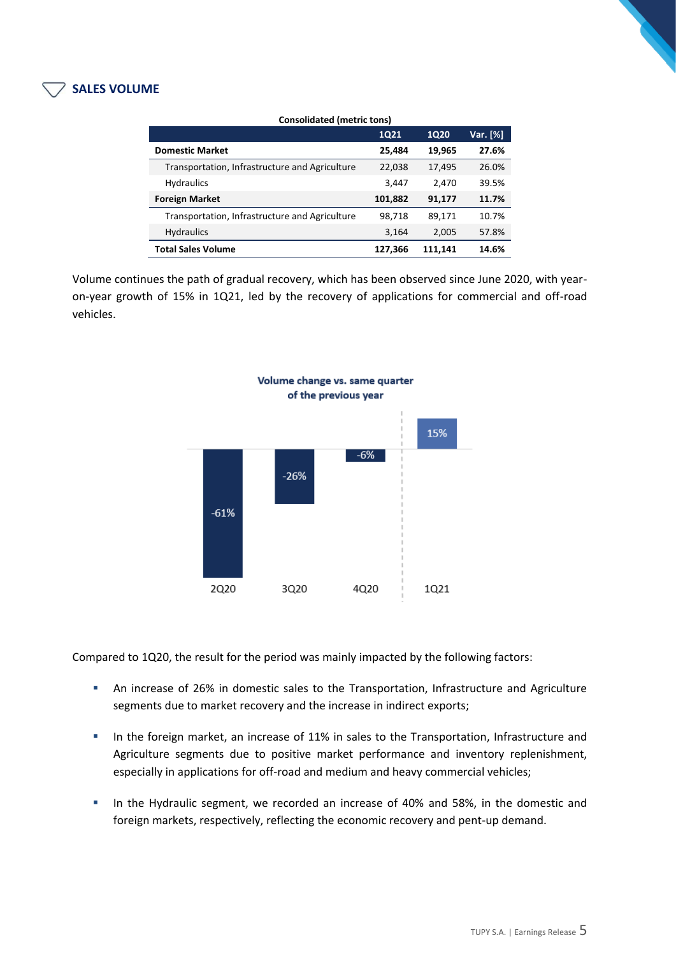### **SALES VOLUME**

| <b>Consolidated (metric tons)</b>              |             |             |          |
|------------------------------------------------|-------------|-------------|----------|
|                                                | <b>1Q21</b> | <b>1Q20</b> | Var. [%] |
| <b>Domestic Market</b>                         | 25,484      | 19,965      | 27.6%    |
| Transportation, Infrastructure and Agriculture | 22,038      | 17,495      | 26.0%    |
| <b>Hydraulics</b>                              | 3,447       | 2,470       | 39.5%    |
| <b>Foreign Market</b>                          | 101,882     | 91,177      | 11.7%    |
| Transportation, Infrastructure and Agriculture | 98,718      | 89,171      | 10.7%    |
| <b>Hydraulics</b>                              | 3,164       | 2,005       | 57.8%    |
| <b>Total Sales Volume</b>                      | 127,366     | 111,141     | 14.6%    |

Volume continues the path of gradual recovery, which has been observed since June 2020, with yearon-year growth of 15% in 1Q21, led by the recovery of applications for commercial and off-road vehicles.



Compared to 1Q20, the result for the period was mainly impacted by the following factors:

- **■** An increase of 26% in domestic sales to the Transportation, Infrastructure and Agriculture segments due to market recovery and the increase in indirect exports;
- **·** In the foreign market, an increase of 11% in sales to the Transportation, Infrastructure and Agriculture segments due to positive market performance and inventory replenishment, especially in applications for off-road and medium and heavy commercial vehicles;
- **.** In the Hydraulic segment, we recorded an increase of 40% and 58%, in the domestic and foreign markets, respectively, reflecting the economic recovery and pent-up demand.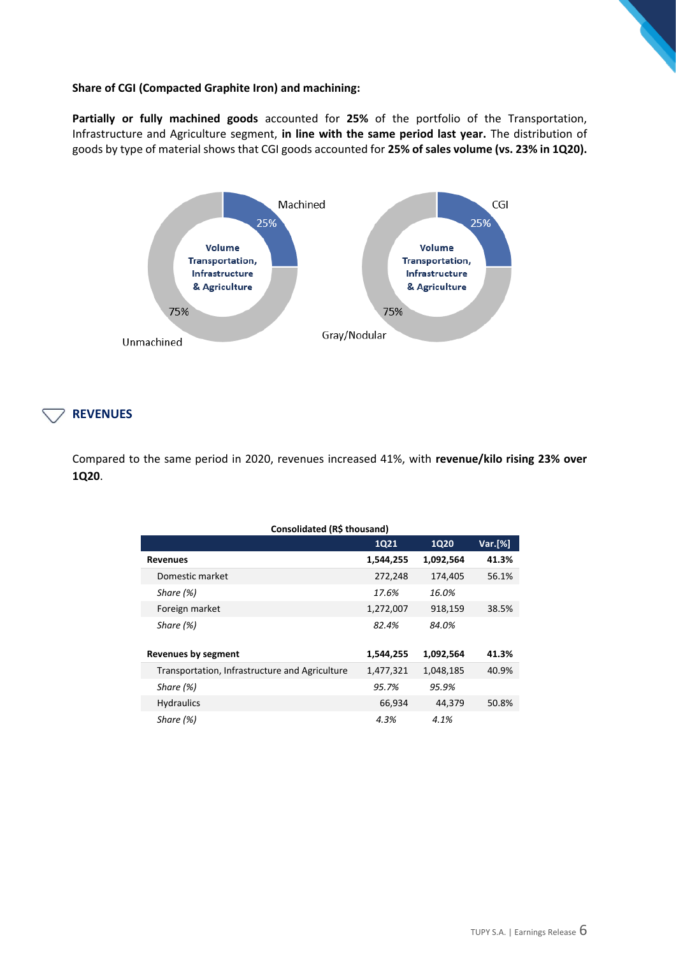#### **Share of CGI (Compacted Graphite Iron) and machining:**

**Partially or fully machined goods** accounted for **25%** of the portfolio of the Transportation, Infrastructure and Agriculture segment, **in line with the same period last year.** The distribution of goods by type of material shows that CGI goods accounted for **25% of sales volume (vs. 23% in 1Q20).**



#### **REVENUES**

Compared to the same period in 2020, revenues increased 41%, with **revenue/kilo rising 23% over 1Q20**.

| Consolidated (R\$ thousand)                    |             |             |         |  |
|------------------------------------------------|-------------|-------------|---------|--|
|                                                | <b>1Q21</b> | <b>1Q20</b> | Var.[%] |  |
| <b>Revenues</b>                                | 1,544,255   | 1,092,564   | 41.3%   |  |
| Domestic market                                | 272,248     | 174,405     | 56.1%   |  |
| Share $(%)$                                    | 17.6%       | 16.0%       |         |  |
| Foreign market                                 | 1,272,007   | 918,159     | 38.5%   |  |
| Share (%)                                      | 82.4%       | 84.0%       |         |  |
| <b>Revenues by segment</b>                     | 1,544,255   | 1,092,564   | 41.3%   |  |
| Transportation, Infrastructure and Agriculture | 1,477,321   | 1,048,185   | 40.9%   |  |
| Share (%)                                      | 95.7%       | 95.9%       |         |  |
| <b>Hydraulics</b>                              | 66,934      | 44,379      | 50.8%   |  |
| Share (%)                                      | 4.3%        | 4.1%        |         |  |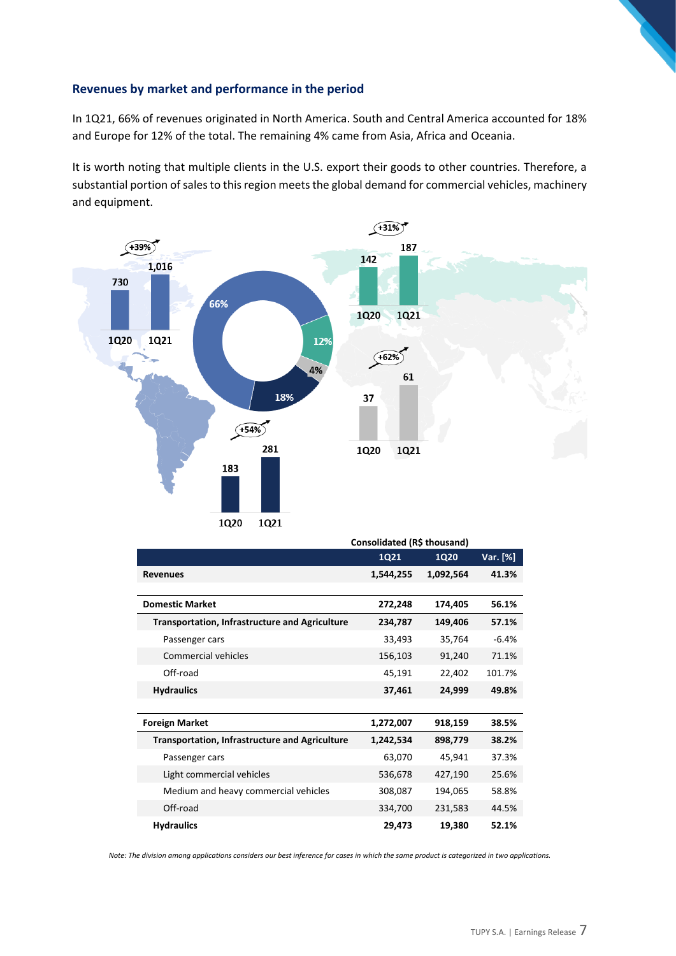#### **Revenues by market and performance in the period**

In 1Q21, 66% of revenues originated in North America. South and Central America accounted for 18% and Europe for 12% of the total. The remaining 4% came from Asia, Africa and Oceania.

It is worth noting that multiple clients in the U.S. export their goods to other countries. Therefore, a substantial portion of sales to this region meets the global demand for commercial vehicles, machinery and equipment.



|                                                       | Consolidated (R\$ thousand) |             |          |  |  |
|-------------------------------------------------------|-----------------------------|-------------|----------|--|--|
|                                                       | 1Q21                        | <b>1Q20</b> | Var. [%] |  |  |
| <b>Revenues</b>                                       | 1,544,255                   | 1,092,564   | 41.3%    |  |  |
| <b>Domestic Market</b>                                |                             |             |          |  |  |
|                                                       | 272,248                     | 174,405     | 56.1%    |  |  |
| <b>Transportation, Infrastructure and Agriculture</b> | 234,787                     | 149,406     | 57.1%    |  |  |
| Passenger cars                                        | 33,493                      | 35,764      | $-6.4%$  |  |  |
| Commercial vehicles                                   | 156,103                     | 91,240      | 71.1%    |  |  |
| Off-road                                              | 45,191                      | 22,402      | 101.7%   |  |  |
| <b>Hydraulics</b>                                     | 37,461                      | 24,999      | 49.8%    |  |  |
|                                                       |                             |             |          |  |  |
| <b>Foreign Market</b>                                 | 1,272,007                   | 918,159     | 38.5%    |  |  |
| <b>Transportation, Infrastructure and Agriculture</b> | 1,242,534                   | 898,779     | 38.2%    |  |  |
| Passenger cars                                        | 63,070                      | 45,941      | 37.3%    |  |  |
| Light commercial vehicles                             | 536,678                     | 427,190     | 25.6%    |  |  |
| Medium and heavy commercial vehicles                  | 308,087                     | 194,065     | 58.8%    |  |  |
| Off-road                                              | 334,700                     | 231,583     | 44.5%    |  |  |
| <b>Hydraulics</b>                                     | 29,473                      | 19,380      | 52.1%    |  |  |

*Note: The division among applications considers our best inference for cases in which the same product is categorized in two applications.*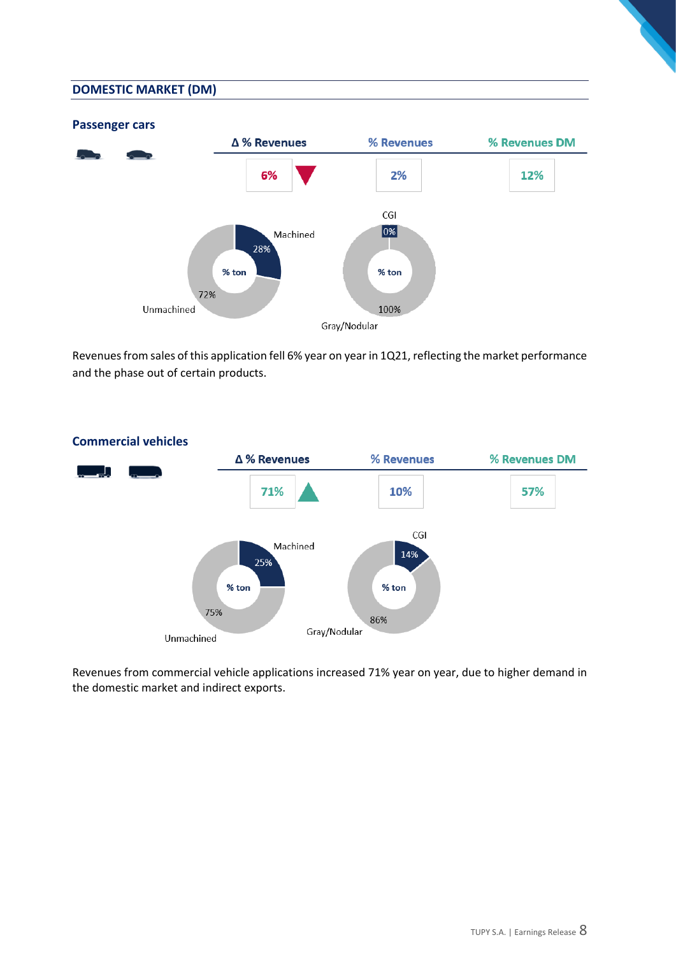#### **DOMESTIC MARKET (DM)**



Revenues from sales of this application fell 6% year on year in 1Q21, reflecting the market performance and the phase out of certain products.



Revenues from commercial vehicle applications increased 71% year on year, due to higher demand in the domestic market and indirect exports.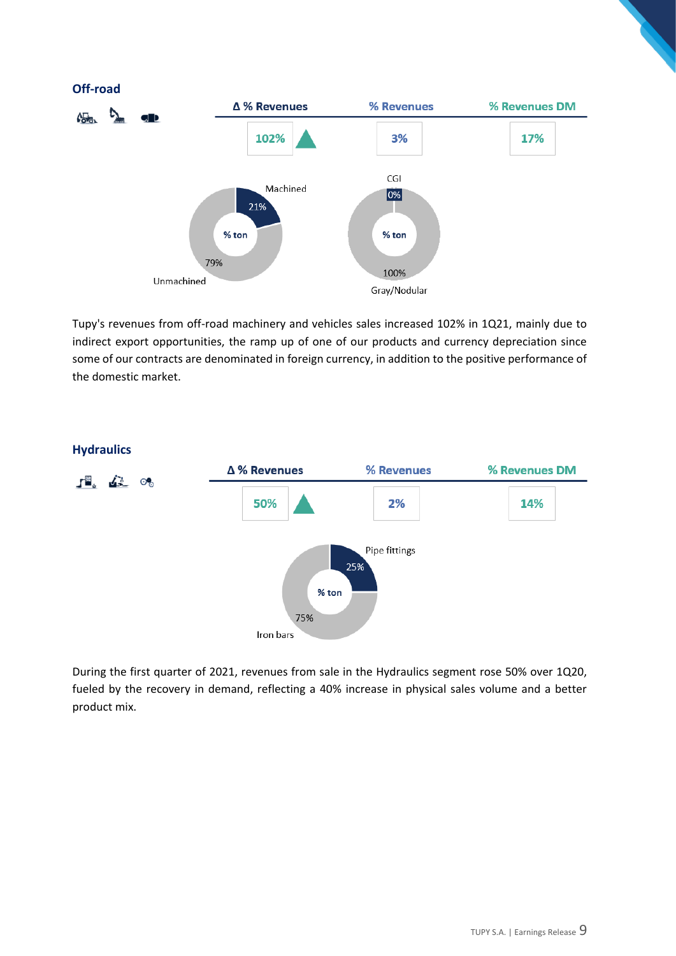

Tupy's revenues from off-road machinery and vehicles sales increased 102% in 1Q21, mainly due to indirect export opportunities, the ramp up of one of our products and currency depreciation since some of our contracts are denominated in foreign currency, in addition to the positive performance of the domestic market.



During the first quarter of 2021, revenues from sale in the Hydraulics segment rose 50% over 1Q20, fueled by the recovery in demand, reflecting a 40% increase in physical sales volume and a better product mix.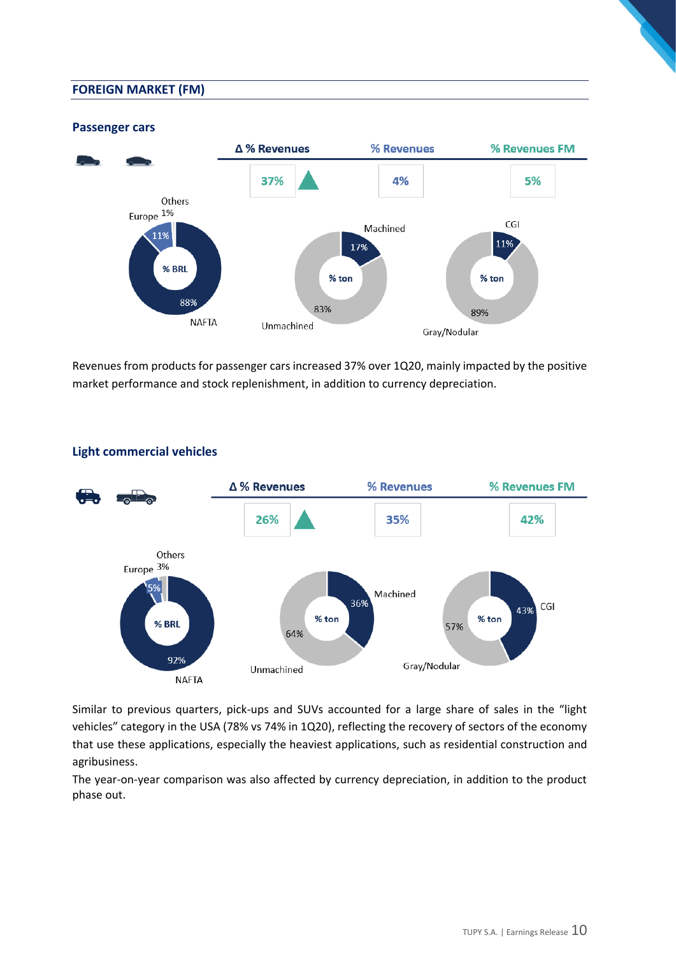#### **FOREIGN MARKET (FM)**

**Passenger cars**

#### Δ % Revenues % Revenues % Revenues FM 37% 4% 5% Others Europe 1% CGI Machined ,<br>11% 11% 17% % BRL % ton % ton 88% 83% 89% **NAFTA** Unmachined Gray/Nodular

Revenues from products for passenger cars increased 37% over 1Q20, mainly impacted by the positive market performance and stock replenishment, in addition to currency depreciation.



# **Light commercial vehicles**

Similar to previous quarters, pick-ups and SUVs accounted for a large share of sales in the "light vehicles" category in the USA (78% vs 74% in 1Q20), reflecting the recovery of sectors of the economy that use these applications, especially the heaviest applications, such as residential construction and agribusiness.

The year-on-year comparison was also affected by currency depreciation, in addition to the product phase out.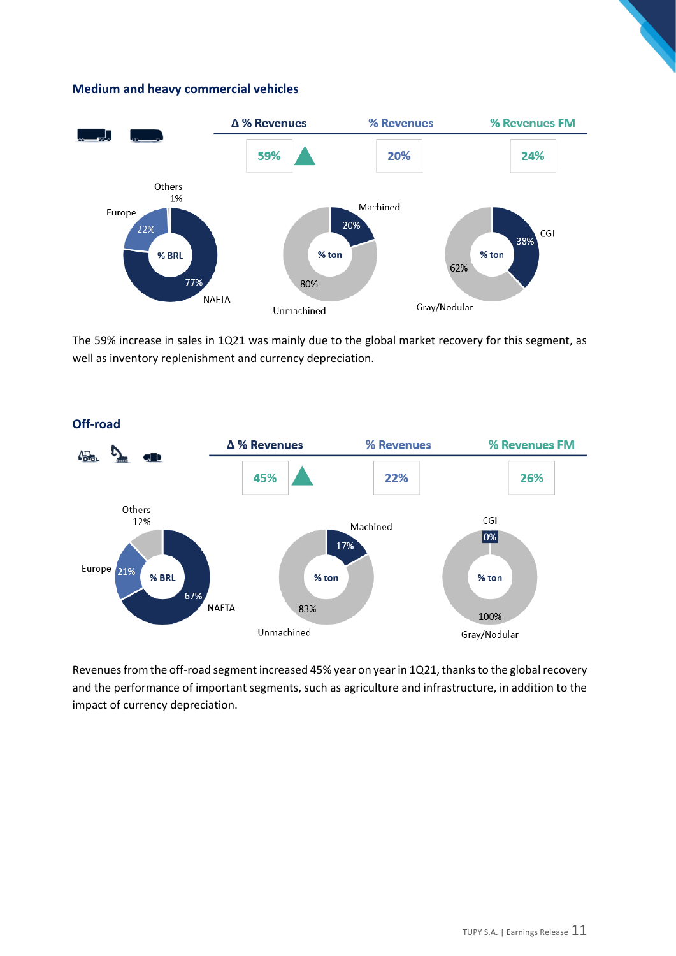#### **Medium and heavy commercial vehicles**



The 59% increase in sales in 1Q21 was mainly due to the global market recovery for this segment, as well as inventory replenishment and currency depreciation.



Revenues from the off-road segment increased 45% year on year in 1Q21, thanks to the global recovery and the performance of important segments, such as agriculture and infrastructure, in addition to the impact of currency depreciation.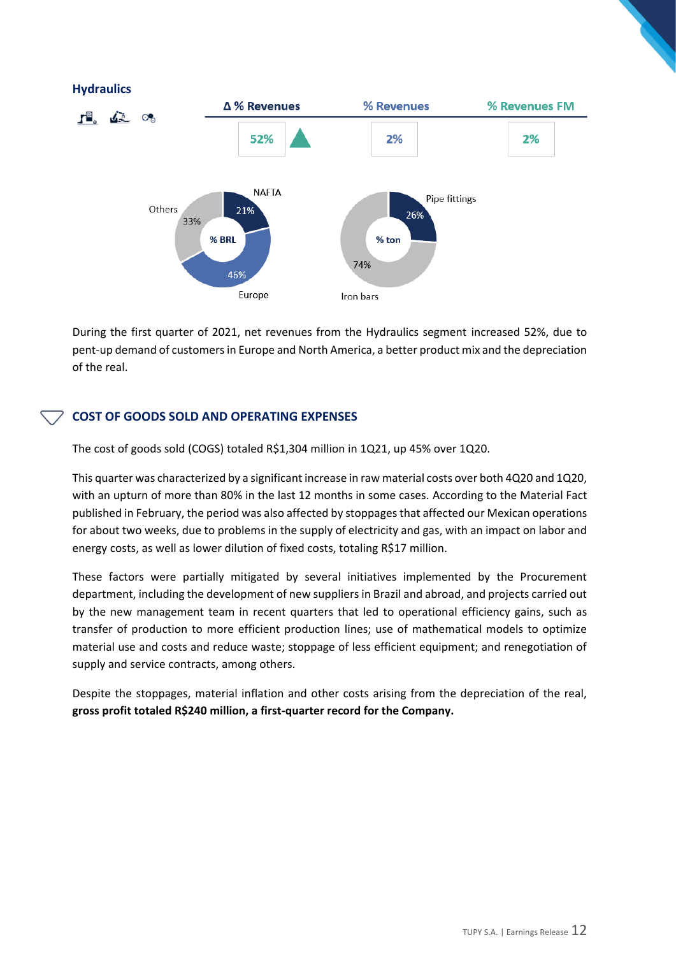#### **Hydraulics**



During the first quarter of 2021, net revenues from the Hydraulics segment increased 52%, due to pent-up demand of customers in Europe and North America, a better product mix and the depreciation of the real.

#### **COST OF GOODS SOLD AND OPERATING EXPENSES**

The cost of goods sold (COGS) totaled R\$1,304 million in 1Q21, up 45% over 1Q20.

This quarter was characterized by a significant increase in raw material costs over both 4Q20 and 1Q20, with an upturn of more than 80% in the last 12 months in some cases. According to the Material Fact published in February, the period was also affected by stoppages that affected our Mexican operations for about two weeks, due to problems in the supply of electricity and gas, with an impact on labor and energy costs, as well as lower dilution of fixed costs, totaling R\$17 million.

These factors were partially mitigated by several initiatives implemented by the Procurement department, including the development of new suppliers in Brazil and abroad, and projects carried out by the new management team in recent quarters that led to operational efficiency gains, such as transfer of production to more efficient production lines; use of mathematical models to optimize material use and costs and reduce waste; stoppage of less efficient equipment; and renegotiation of supply and service contracts, among others.

Despite the stoppages, material inflation and other costs arising from the depreciation of the real, **gross profit totaled R\$240 million, a first-quarter record for the Company.**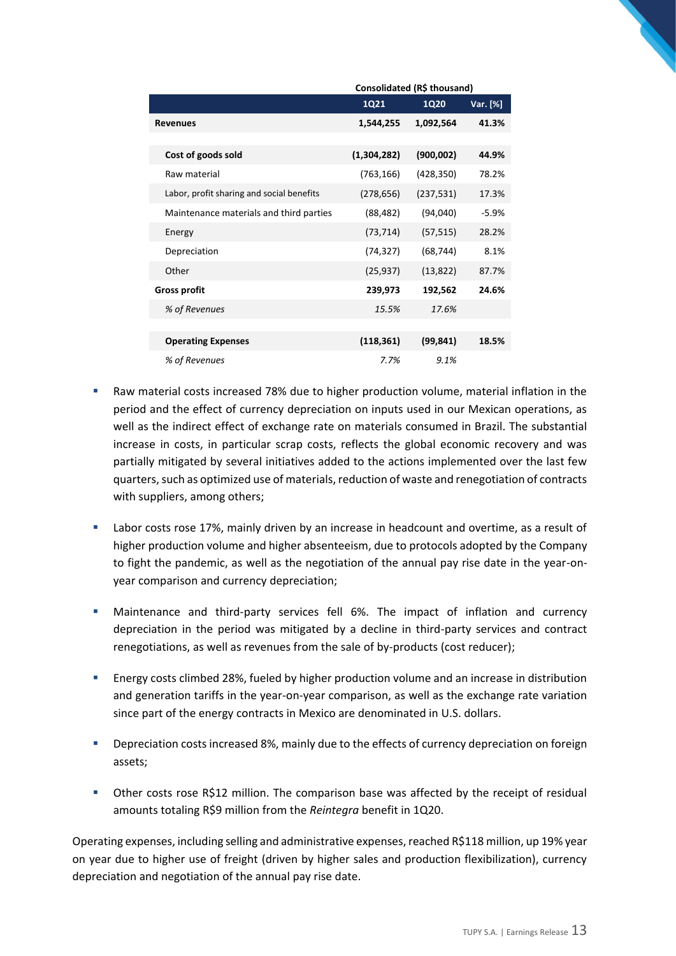|                                           | Consolidated (R\$ thousand) |             |          |  |
|-------------------------------------------|-----------------------------|-------------|----------|--|
|                                           | 1Q21                        | <b>1Q20</b> | Var. [%] |  |
| <b>Revenues</b>                           | 1,544,255                   | 1,092,564   | 41.3%    |  |
|                                           |                             |             |          |  |
| Cost of goods sold                        | (1,304,282)                 | (900, 002)  | 44.9%    |  |
| Raw material                              | (763, 166)                  | (428, 350)  | 78.2%    |  |
| Labor, profit sharing and social benefits | (278, 656)                  | (237, 531)  | 17.3%    |  |
| Maintenance materials and third parties   | (88, 482)                   | (94,040)    | $-5.9%$  |  |
| Energy                                    | (73, 714)                   | (57, 515)   | 28.2%    |  |
| Depreciation                              | (74, 327)                   | (68, 744)   | 8.1%     |  |
| Other                                     | (25, 937)                   | (13, 822)   | 87.7%    |  |
| <b>Gross profit</b>                       | 239,973                     | 192,562     | 24.6%    |  |
| % of Revenues                             | 15.5%                       | 17.6%       |          |  |
|                                           |                             |             |          |  |
| <b>Operating Expenses</b>                 | (118, 361)                  | (99, 841)   | 18.5%    |  |
| % of Revenues                             | 7.7%                        | 9.1%        |          |  |

- Raw material costs increased 78% due to higher production volume, material inflation in the period and the effect of currency depreciation on inputs used in our Mexican operations, as well as the indirect effect of exchange rate on materials consumed in Brazil. The substantial increase in costs, in particular scrap costs, reflects the global economic recovery and was partially mitigated by several initiatives added to the actions implemented over the last few quarters, such as optimized use of materials, reduction of waste and renegotiation of contracts with suppliers, among others;
- Labor costs rose 17%, mainly driven by an increase in headcount and overtime, as a result of higher production volume and higher absenteeism, due to protocols adopted by the Company to fight the pandemic, as well as the negotiation of the annual pay rise date in the year-onyear comparison and currency depreciation;
- Maintenance and third-party services fell 6%. The impact of inflation and currency depreciation in the period was mitigated by a decline in third-party services and contract renegotiations, as well as revenues from the sale of by-products (cost reducer);
- Energy costs climbed 28%, fueled by higher production volume and an increase in distribution and generation tariffs in the year-on-year comparison, as well as the exchange rate variation since part of the energy contracts in Mexico are denominated in U.S. dollars.
- Depreciation costs increased 8%, mainly due to the effects of currency depreciation on foreign assets;
- Other costs rose R\$12 million. The comparison base was affected by the receipt of residual amounts totaling R\$9 million from the *Reintegra* benefit in 1Q20.

Operating expenses, including selling and administrative expenses, reached R\$118 million, up 19% year on year due to higher use of freight (driven by higher sales and production flexibilization), currency depreciation and negotiation of the annual pay rise date.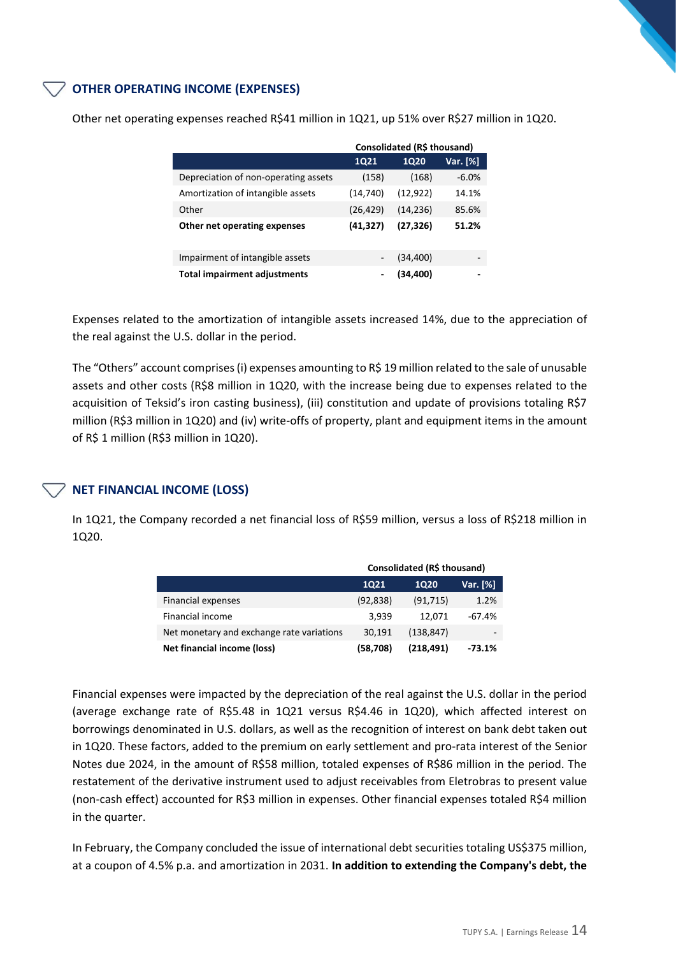## **OTHER OPERATING INCOME (EXPENSES)**

|                                      | Consolidated (R\$ thousand)  |             |          |  |
|--------------------------------------|------------------------------|-------------|----------|--|
|                                      | <b>1Q21</b>                  | <b>1Q20</b> | Var. [%] |  |
| Depreciation of non-operating assets | (158)                        | (168)       | $-6.0%$  |  |
| Amortization of intangible assets    | (14, 740)                    | (12, 922)   | 14.1%    |  |
| Other                                | (26, 429)                    | (14, 236)   | 85.6%    |  |
| Other net operating expenses         | (41, 327)                    | (27, 326)   | 51.2%    |  |
|                                      |                              |             |          |  |
| Impairment of intangible assets      | $\overline{\phantom{a}}$     | (34, 400)   | -        |  |
| <b>Total impairment adjustments</b>  | $\qquad \qquad \blacksquare$ | (34,400)    |          |  |

Other net operating expenses reached R\$41 million in 1Q21, up 51% over R\$27 million in 1Q20.

Expenses related to the amortization of intangible assets increased 14%, due to the appreciation of the real against the U.S. dollar in the period.

The "Others" account comprises (i) expenses amounting to R\$ 19 million related to the sale of unusable assets and other costs (R\$8 million in 1Q20, with the increase being due to expenses related to the acquisition of Teksid's iron casting business), (iii) constitution and update of provisions totaling R\$7 million (R\$3 million in 1Q20) and (iv) write-offs of property, plant and equipment items in the amount of R\$ 1 million (R\$3 million in 1Q20).

#### **NET FINANCIAL INCOME (LOSS)**

In 1Q21, the Company recorded a net financial loss of R\$59 million, versus a loss of R\$218 million in 1Q20.

|                                           | Consolidated (R\$ thousand) |             |          |  |
|-------------------------------------------|-----------------------------|-------------|----------|--|
|                                           | 1021                        | <b>1Q20</b> | Var. [%] |  |
| <b>Financial expenses</b>                 | (92, 838)                   | (91, 715)   | 1.2%     |  |
| Financial income                          | 3,939                       | 12.071      | $-67.4%$ |  |
| Net monetary and exchange rate variations | 30.191                      | (138, 847)  |          |  |
| Net financial income (loss)               | (58,708)                    | (218, 491)  | $-73.1%$ |  |

Financial expenses were impacted by the depreciation of the real against the U.S. dollar in the period (average exchange rate of R\$5.48 in 1Q21 versus R\$4.46 in 1Q20), which affected interest on borrowings denominated in U.S. dollars, as well as the recognition of interest on bank debt taken out in 1Q20. These factors, added to the premium on early settlement and pro-rata interest of the Senior Notes due 2024, in the amount of R\$58 million, totaled expenses of R\$86 million in the period. The restatement of the derivative instrument used to adjust receivables from Eletrobras to present value (non-cash effect) accounted for R\$3 million in expenses. Other financial expenses totaled R\$4 million in the quarter.

In February, the Company concluded the issue of international debt securities totaling US\$375 million, at a coupon of 4.5% p.a. and amortization in 2031. **In addition to extending the Company's debt, the**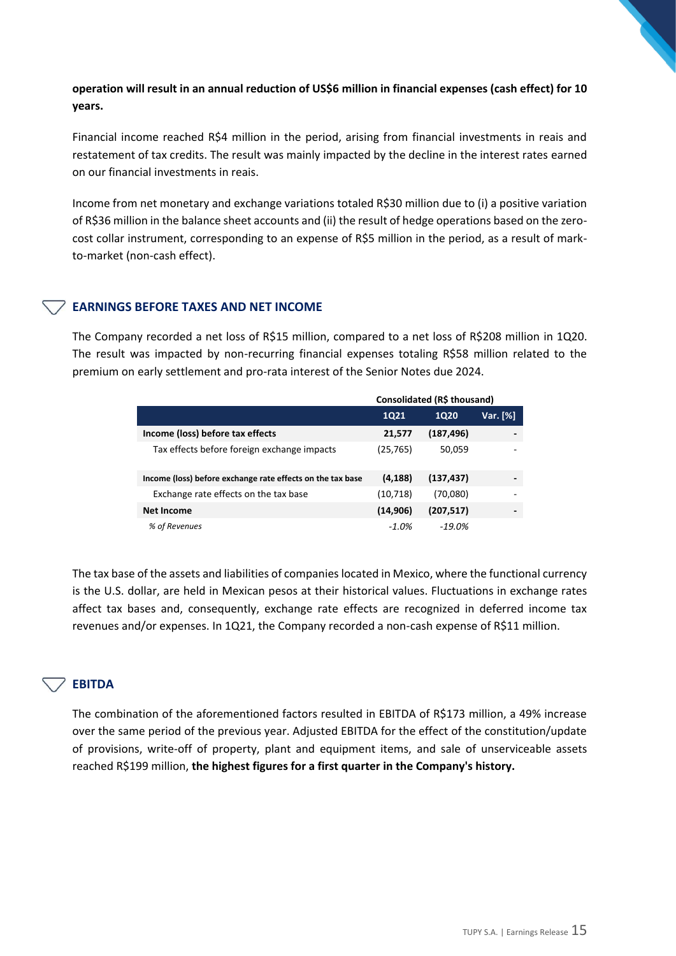## **operation will result in an annual reduction of US\$6 million in financial expenses (cash effect) for 10 years.**

Financial income reached R\$4 million in the period, arising from financial investments in reais and restatement of tax credits. The result was mainly impacted by the decline in the interest rates earned on our financial investments in reais.

Income from net monetary and exchange variations totaled R\$30 million due to (i) a positive variation of R\$36 million in the balance sheet accounts and (ii) the result of hedge operations based on the zerocost collar instrument, corresponding to an expense of R\$5 million in the period, as a result of markto-market (non-cash effect).

#### **EARNINGS BEFORE TAXES AND NET INCOME**

The Company recorded a net loss of R\$15 million, compared to a net loss of R\$208 million in 1Q20. The result was impacted by non-recurring financial expenses totaling R\$58 million related to the premium on early settlement and pro-rata interest of the Senior Notes due 2024.

|                                                            | Consolidated (R\$ thousand) |            |          |  |
|------------------------------------------------------------|-----------------------------|------------|----------|--|
|                                                            | 1Q21                        | 1020       | Var. [%] |  |
| Income (loss) before tax effects                           | 21,577                      | (187, 496) |          |  |
| Tax effects before foreign exchange impacts                | (25, 765)                   | 50,059     |          |  |
| Income (loss) before exchange rate effects on the tax base | (4, 188)                    | (137, 437) |          |  |
| Exchange rate effects on the tax base                      | (10, 718)                   | (70,080)   |          |  |
| <b>Net Income</b>                                          | (14,906)                    | (207, 517) |          |  |
| % of Revenues                                              | $-1.0\%$                    | $-19.0%$   |          |  |

The tax base of the assets and liabilities of companies located in Mexico, where the functional currency is the U.S. dollar, are held in Mexican pesos at their historical values. Fluctuations in exchange rates affect tax bases and, consequently, exchange rate effects are recognized in deferred income tax revenues and/or expenses. In 1Q21, the Company recorded a non-cash expense of R\$11 million.

# **EBITDA**

The combination of the aforementioned factors resulted in EBITDA of R\$173 million, a 49% increase over the same period of the previous year. Adjusted EBITDA for the effect of the constitution/update of provisions, write-off of property, plant and equipment items, and sale of unserviceable assets reached R\$199 million, **the highest figures for a first quarter in the Company's history.**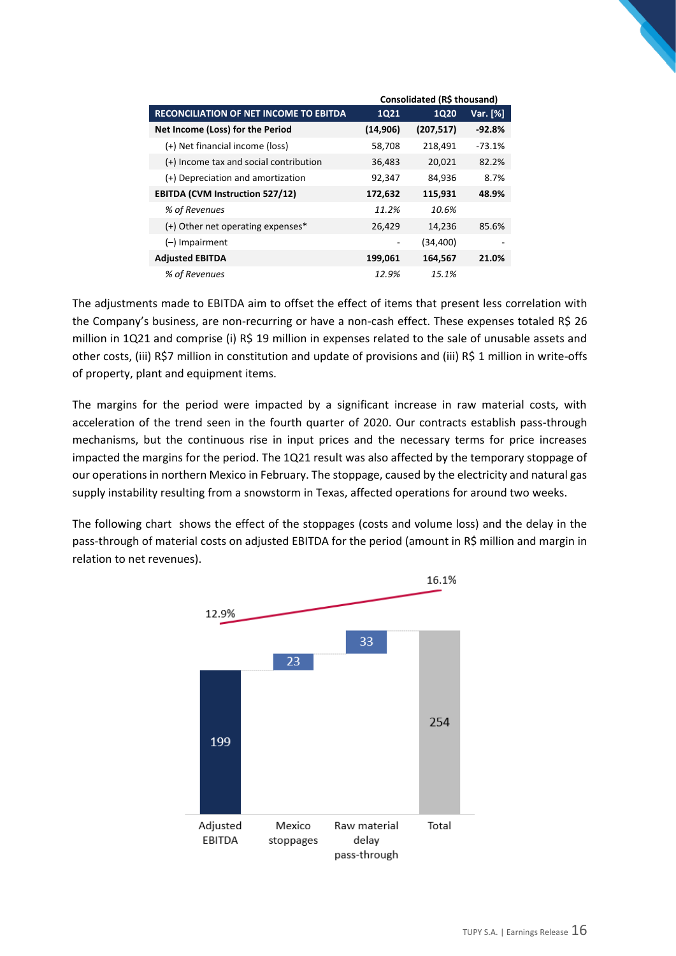|                                               | Consolidated (R\$ thousand) |             |          |  |
|-----------------------------------------------|-----------------------------|-------------|----------|--|
| <b>RECONCILIATION OF NET INCOME TO EBITDA</b> | <b>1Q21</b>                 | <b>1Q20</b> | Var. [%] |  |
| Net Income (Loss) for the Period              | (14, 906)                   | (207, 517)  | $-92.8%$ |  |
| (+) Net financial income (loss)               | 58,708                      | 218,491     | $-73.1%$ |  |
| (+) Income tax and social contribution        | 36,483                      | 20,021      | 82.2%    |  |
| (+) Depreciation and amortization             | 92,347                      | 84,936      | 8.7%     |  |
| <b>EBITDA (CVM Instruction 527/12)</b>        | 172,632                     | 115,931     | 48.9%    |  |
| % of Revenues                                 | 11.2%                       | 10.6%       |          |  |
| (+) Other net operating expenses*             | 26,429                      | 14,236      | 85.6%    |  |
| $(-)$ Impairment                              |                             | (34,400)    |          |  |
| <b>Adjusted EBITDA</b>                        | 199,061                     | 164,567     | 21.0%    |  |
| % of Revenues                                 | 12.9%                       | 15.1%       |          |  |

The adjustments made to EBITDA aim to offset the effect of items that present less correlation with the Company's business, are non-recurring or have a non-cash effect. These expenses totaled R\$ 26 million in 1Q21 and comprise (i) R\$ 19 million in expenses related to the sale of unusable assets and other costs, (iii) R\$7 million in constitution and update of provisions and (iii) R\$ 1 million in write-offs of property, plant and equipment items.

The margins for the period were impacted by a significant increase in raw material costs, with acceleration of the trend seen in the fourth quarter of 2020. Our contracts establish pass-through mechanisms, but the continuous rise in input prices and the necessary terms for price increases impacted the margins for the period. The 1Q21 result was also affected by the temporary stoppage of our operations in northern Mexico in February. The stoppage, caused by the electricity and natural gas supply instability resulting from a snowstorm in Texas, affected operations for around two weeks.

The following chart shows the effect of the stoppages (costs and volume loss) and the delay in the pass-through of material costs on adjusted EBITDA for the period (amount in R\$ million and margin in relation to net revenues).

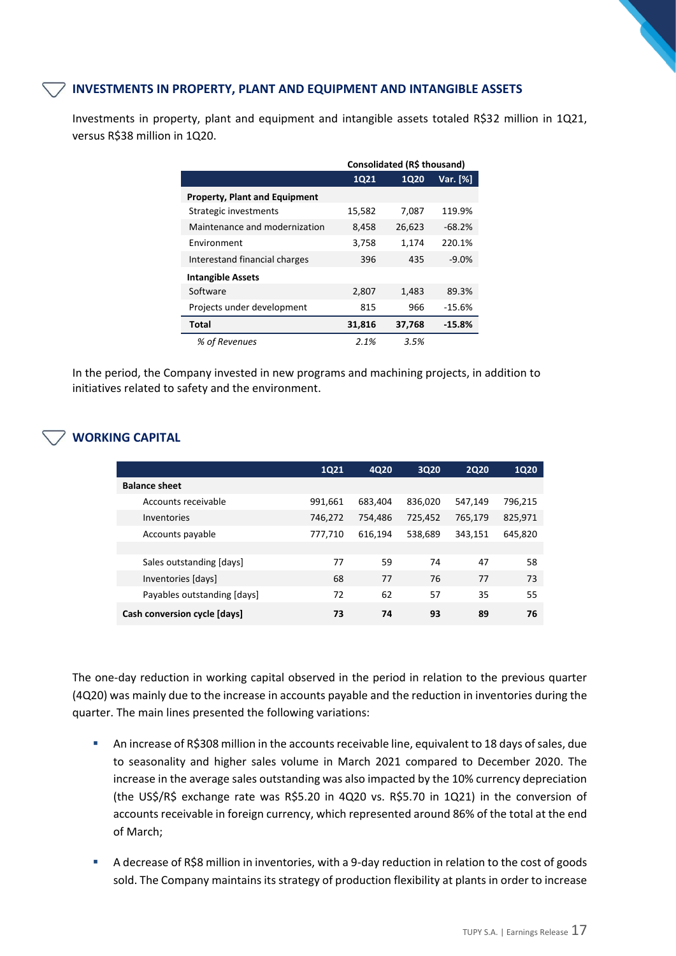#### **INVESTMENTS IN PROPERTY, PLANT AND EQUIPMENT AND INTANGIBLE ASSETS**

Investments in property, plant and equipment and intangible assets totaled R\$32 million in 1Q21, versus R\$38 million in 1Q20.

|                                      | Consolidated (R\$ thousand) |        |          |  |
|--------------------------------------|-----------------------------|--------|----------|--|
|                                      | 1021                        | 1020   | Var. [%] |  |
| <b>Property, Plant and Equipment</b> |                             |        |          |  |
| Strategic investments                | 15,582                      | 7,087  | 119.9%   |  |
| Maintenance and modernization        | 8,458                       | 26,623 | $-68.2%$ |  |
| Environment                          | 3,758                       | 1,174  | 220.1%   |  |
| Interestand financial charges        | 396                         | 435    | $-9.0%$  |  |
| <b>Intangible Assets</b>             |                             |        |          |  |
| Software                             | 2,807                       | 1,483  | 89.3%    |  |
| Projects under development           | 815                         | 966    | $-15.6%$ |  |
| Total                                | 31,816                      | 37,768 | $-15.8%$ |  |
| % of Revenues                        | 2.1%                        | 3.5%   |          |  |

In the period, the Company invested in new programs and machining projects, in addition to initiatives related to safety and the environment.

# **WORKING CAPITAL**

|                              | <b>1Q21</b> | 4Q20    | 3Q20    | <b>2Q20</b> | <b>1Q20</b> |
|------------------------------|-------------|---------|---------|-------------|-------------|
| <b>Balance sheet</b>         |             |         |         |             |             |
| Accounts receivable          | 991,661     | 683,404 | 836,020 | 547,149     | 796,215     |
| Inventories                  | 746,272     | 754,486 | 725,452 | 765,179     | 825,971     |
| Accounts payable             | 777,710     | 616.194 | 538,689 | 343,151     | 645,820     |
|                              |             |         |         |             |             |
| Sales outstanding [days]     | 77          | 59      | 74      | 47          | 58          |
| Inventories [days]           | 68          | 77      | 76      | 77          | 73          |
| Payables outstanding [days]  | 72          | 62      | 57      | 35          | 55          |
| Cash conversion cycle [days] | 73          | 74      | 93      | 89          | 76          |

The one-day reduction in working capital observed in the period in relation to the previous quarter (4Q20) was mainly due to the increase in accounts payable and the reduction in inventories during the quarter. The main lines presented the following variations:

- **An increase of R\$308 million in the accounts receivable line, equivalent to 18 days of sales, due** to seasonality and higher sales volume in March 2021 compared to December 2020. The increase in the average sales outstanding was also impacted by the 10% currency depreciation (the US\$/R\$ exchange rate was R\$5.20 in 4Q20 vs. R\$5.70 in 1Q21) in the conversion of accounts receivable in foreign currency, which represented around 86% of the total at the end of March;
- A decrease of R\$8 million in inventories, with a 9-day reduction in relation to the cost of goods sold. The Company maintains its strategy of production flexibility at plants in order to increase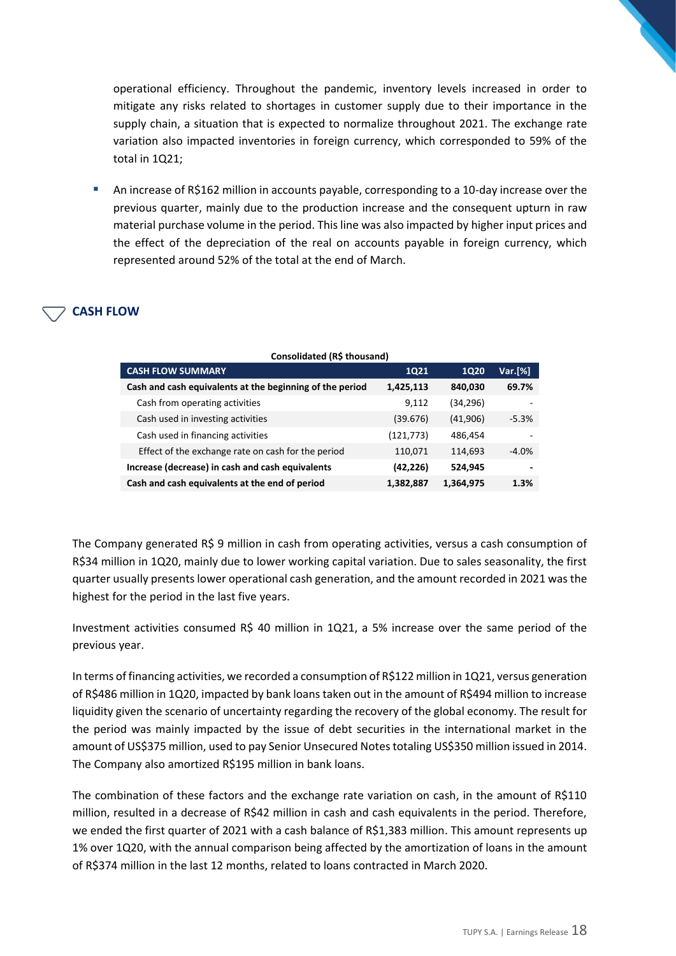operational efficiency. Throughout the pandemic, inventory levels increased in order to mitigate any risks related to shortages in customer supply due to their importance in the supply chain, a situation that is expected to normalize throughout 2021. The exchange rate variation also impacted inventories in foreign currency, which corresponded to 59% of the total in 1Q21;

An increase of R\$162 million in accounts payable, corresponding to a 10-day increase over the previous quarter, mainly due to the production increase and the consequent upturn in raw material purchase volume in the period. This line was also impacted by higher input prices and the effect of the depreciation of the real on accounts payable in foreign currency, which represented around 52% of the total at the end of March.

# **CASH FLOW**

| <b>CASH FLOW SUMMARY</b>                                 | <b>1Q21</b> | <b>1Q20</b> | Var.[%] |
|----------------------------------------------------------|-------------|-------------|---------|
| Cash and cash equivalents at the beginning of the period | 1,425,113   | 840,030     | 69.7%   |
| Cash from operating activities                           | 9,112       | (34, 296)   |         |
| Cash used in investing activities                        | (39.676)    | (41,906)    | $-5.3%$ |
| Cash used in financing activities                        | (121, 773)  | 486,454     |         |
| Effect of the exchange rate on cash for the period       | 110,071     | 114,693     | $-4.0%$ |
| Increase (decrease) in cash and cash equivalents         | (42, 226)   | 524,945     | -       |
| Cash and cash equivalents at the end of period           | 1,382,887   | 1,364,975   | 1.3%    |

The Company generated R\$ 9 million in cash from operating activities, versus a cash consumption of R\$34 million in 1Q20, mainly due to lower working capital variation. Due to sales seasonality, the first quarter usually presents lower operational cash generation, and the amount recorded in 2021 was the highest for the period in the last five years.

Investment activities consumed R\$ 40 million in 1Q21, a 5% increase over the same period of the previous year.

In terms of financing activities, we recorded a consumption of R\$122 million in 1Q21, versus generation of R\$486 million in 1Q20, impacted by bank loans taken out in the amount of R\$494 million to increase liquidity given the scenario of uncertainty regarding the recovery of the global economy. The result for the period was mainly impacted by the issue of debt securities in the international market in the amount of US\$375 million, used to pay Senior Unsecured Notes totaling US\$350 million issued in 2014. The Company also amortized R\$195 million in bank loans.

The combination of these factors and the exchange rate variation on cash, in the amount of R\$110 million, resulted in a decrease of R\$42 million in cash and cash equivalents in the period. Therefore, we ended the first quarter of 2021 with a cash balance of R\$1,383 million. This amount represents up 1% over 1Q20, with the annual comparison being affected by the amortization of loans in the amount of R\$374 million in the last 12 months, related to loans contracted in March 2020.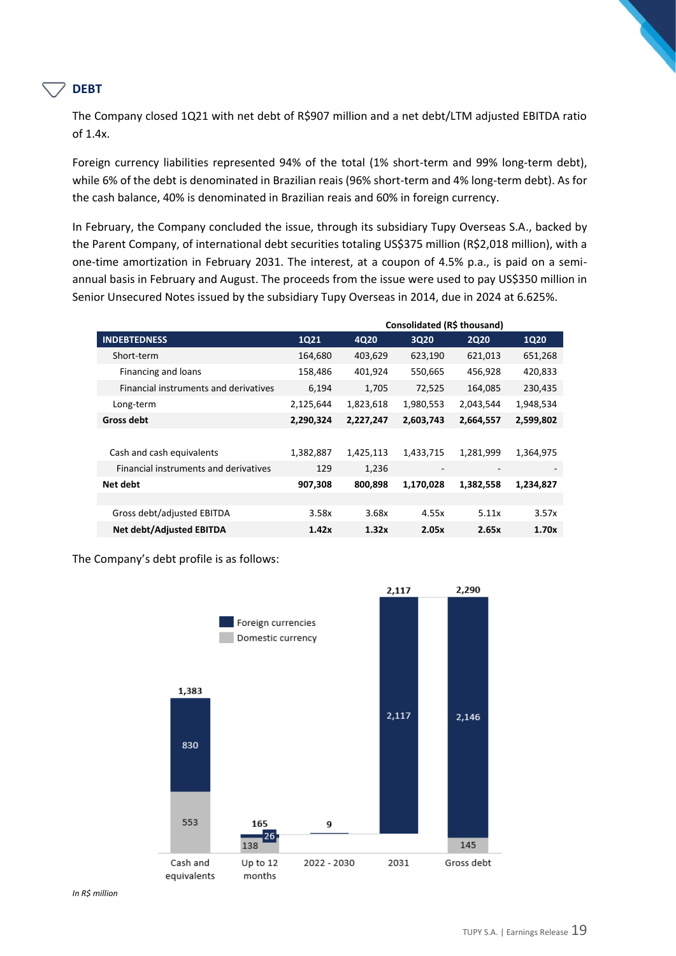#### **DEBT**

The Company closed 1Q21 with net debt of R\$907 million and a net debt/LTM adjusted EBITDA ratio of 1.4x.

Foreign currency liabilities represented 94% of the total (1% short-term and 99% long-term debt), while 6% of the debt is denominated in Brazilian reais (96% short-term and 4% long-term debt). As for the cash balance, 40% is denominated in Brazilian reais and 60% in foreign currency.

In February, the Company concluded the issue, through its subsidiary Tupy Overseas S.A., backed by the Parent Company, of international debt securities totaling US\$375 million (R\$2,018 million), with a one-time amortization in February 2031. The interest, at a coupon of 4.5% p.a., is paid on a semiannual basis in February and August. The proceeds from the issue were used to pay US\$350 million in Senior Unsecured Notes issued by the subsidiary Tupy Overseas in 2014, due in 2024 at 6.625%.

|                                       | Consolidated (R\$ thousand) |           |                          |                          |                          |
|---------------------------------------|-----------------------------|-----------|--------------------------|--------------------------|--------------------------|
| <b>INDEBTEDNESS</b>                   | <b>1Q21</b>                 | 4Q20      | 3Q20                     | <b>2Q20</b>              | <b>1Q20</b>              |
| Short-term                            | 164,680                     | 403,629   | 623,190                  | 621,013                  | 651,268                  |
| Financing and loans                   | 158,486                     | 401,924   | 550,665                  | 456,928                  | 420,833                  |
| Financial instruments and derivatives | 6,194                       | 1,705     | 72,525                   | 164,085                  | 230,435                  |
| Long-term                             | 2,125,644                   | 1,823,618 | 1,980,553                | 2,043,544                | 1,948,534                |
| Gross debt                            | 2,290,324                   | 2,227,247 | 2,603,743                | 2,664,557                | 2,599,802                |
|                                       |                             |           |                          |                          |                          |
| Cash and cash equivalents             | 1,382,887                   | 1,425,113 | 1,433,715                | 1,281,999                | 1,364,975                |
| Financial instruments and derivatives | 129                         | 1,236     | $\overline{\phantom{a}}$ | $\overline{\phantom{a}}$ | $\overline{\phantom{a}}$ |
| Net debt                              | 907,308                     | 800,898   | 1,170,028                | 1,382,558                | 1,234,827                |
|                                       |                             |           |                          |                          |                          |
| Gross debt/adjusted EBITDA            | 3.58x                       | 3.68x     | 4.55x                    | 5.11x                    | 3.57x                    |
| <b>Net debt/Adjusted EBITDA</b>       | 1.42x                       | 1.32x     | 2.05x                    | 2.65x                    | 1.70x                    |

The Company's debt profile is as follows:

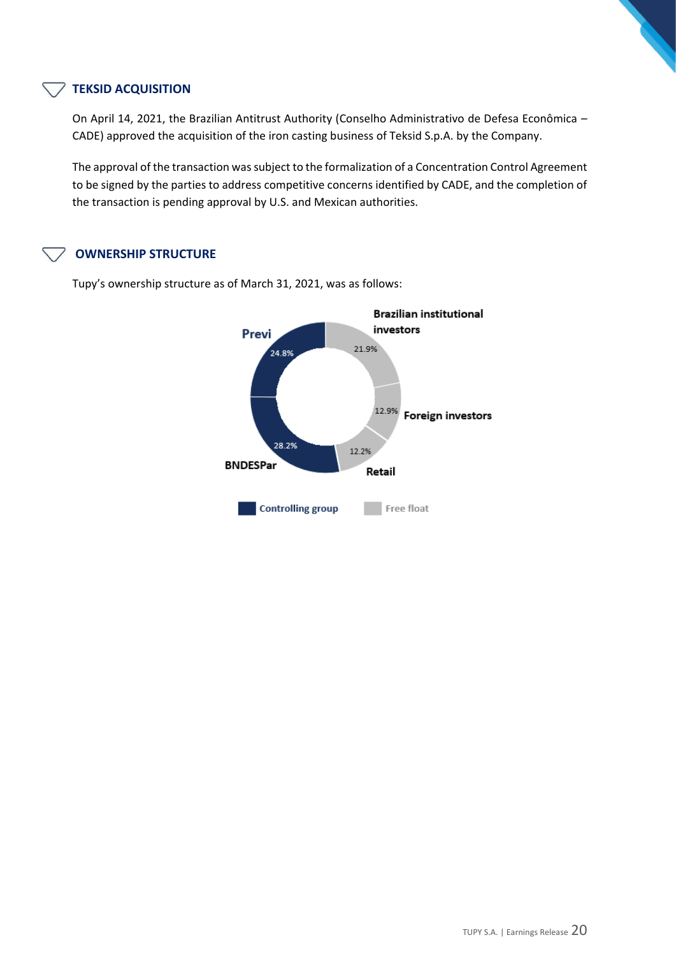#### **TEKSID ACQUISITION**

On April 14, 2021, the Brazilian Antitrust Authority (Conselho Administrativo de Defesa Econômica – CADE) approved the acquisition of the iron casting business of Teksid S.p.A. by the Company.

The approval of the transaction was subject to the formalization of a Concentration Control Agreement to be signed by the parties to address competitive concerns identified by CADE, and the completion of the transaction is pending approval by U.S. and Mexican authorities.

#### **OWNERSHIP STRUCTURE**



Tupy's ownership structure as of March 31, 2021, was as follows: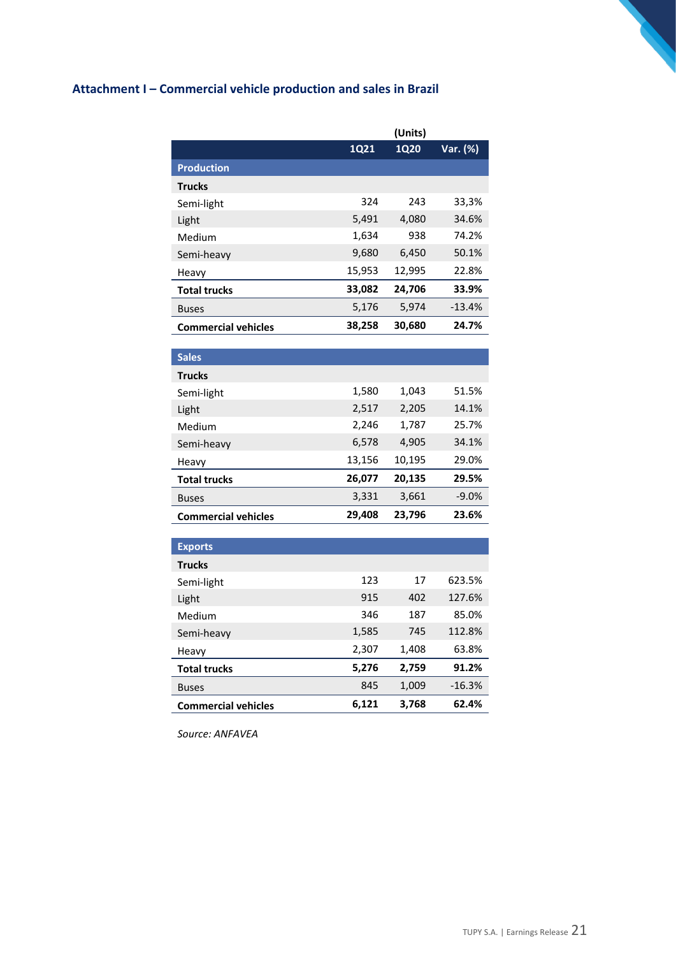# **Attachment I – Commercial vehicle production and sales in Brazil**

|                            |             | (Units)     |          |
|----------------------------|-------------|-------------|----------|
|                            | <b>1Q21</b> | <b>1Q20</b> | Var. (%) |
| <b>Production</b>          |             |             |          |
| <b>Trucks</b>              |             |             |          |
| Semi-light                 | 324         | 243         | 33,3%    |
| Light                      | 5,491       | 4,080       | 34.6%    |
| Medium                     | 1,634       | 938         | 74.2%    |
| Semi-heavy                 | 9,680       | 6,450       | 50.1%    |
| Heavy                      | 15,953      | 12,995      | 22.8%    |
| <b>Total trucks</b>        | 33,082      | 24,706      | 33.9%    |
| <b>Buses</b>               | 5,176       | 5,974       | $-13.4%$ |
| <b>Commercial vehicles</b> | 38,258      | 30,680      | 24.7%    |

| <b>Sales</b>               |        |        |         |
|----------------------------|--------|--------|---------|
| <b>Trucks</b>              |        |        |         |
| Semi-light                 | 1,580  | 1,043  | 51.5%   |
| Light                      | 2,517  | 2,205  | 14.1%   |
| Medium                     | 2,246  | 1,787  | 25.7%   |
| Semi-heavy                 | 6,578  | 4,905  | 34.1%   |
| Heavy                      | 13,156 | 10,195 | 29.0%   |
| <b>Total trucks</b>        | 26,077 | 20,135 | 29.5%   |
| <b>Buses</b>               | 3,331  | 3,661  | $-9.0%$ |
| <b>Commercial vehicles</b> | 29,408 | 23.796 | 23.6%   |

| <b>Exports</b>             |       |       |          |
|----------------------------|-------|-------|----------|
| <b>Trucks</b>              |       |       |          |
| Semi-light                 | 123   | 17    | 623.5%   |
| Light                      | 915   | 402   | 127.6%   |
| Medium                     | 346   | 187   | 85.0%    |
| Semi-heavy                 | 1,585 | 745   | 112.8%   |
| Heavy                      | 2,307 | 1,408 | 63.8%    |
| <b>Total trucks</b>        | 5,276 | 2,759 | 91.2%    |
| <b>Buses</b>               | 845   | 1,009 | $-16.3%$ |
| <b>Commercial vehicles</b> | 6,121 | 3,768 | 62.4%    |

*Source: ANFAVEA*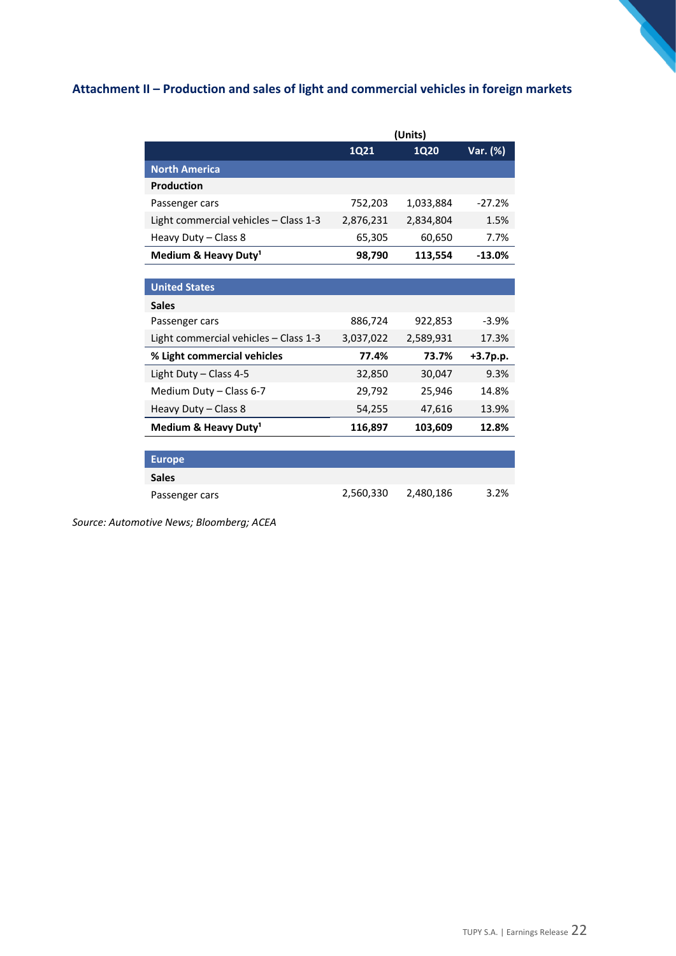# **Attachment II – Production and sales of light and commercial vehicles in foreign markets**

|                                       | (Units)     |             |            |  |
|---------------------------------------|-------------|-------------|------------|--|
|                                       | <b>1Q21</b> | <b>1Q20</b> | Var. (%)   |  |
| <b>North America</b>                  |             |             |            |  |
| <b>Production</b>                     |             |             |            |  |
| Passenger cars                        | 752,203     | 1,033,884   | $-27.2%$   |  |
| Light commercial vehicles - Class 1-3 | 2,876,231   | 2,834,804   | 1.5%       |  |
| Heavy Duty - Class 8                  | 65,305      | 60,650      | 7.7%       |  |
| Medium & Heavy Duty <sup>1</sup>      | 98,790      | 113,554     | $-13.0%$   |  |
|                                       |             |             |            |  |
| <b>United States</b>                  |             |             |            |  |
| <b>Sales</b>                          |             |             |            |  |
| Passenger cars                        | 886,724     | 922,853     | $-3.9%$    |  |
| Light commercial vehicles - Class 1-3 | 3,037,022   | 2,589,931   | 17.3%      |  |
| % Light commercial vehicles           | 77.4%       | 73.7%       | $+3.7p.p.$ |  |
| Light Duty - Class 4-5                | 32,850      | 30,047      | 9.3%       |  |
| Medium Duty - Class 6-7               | 29,792      | 25,946      | 14.8%      |  |
| Heavy Duty - Class 8                  | 54,255      | 47,616      | 13.9%      |  |
| Medium & Heavy Duty <sup>1</sup>      | 116,897     | 103,609     | 12.8%      |  |
|                                       |             |             |            |  |
| <b>Europe</b>                         |             |             |            |  |
| <b>Sales</b>                          |             |             |            |  |
| Passenger cars                        | 2,560,330   | 2,480,186   | 3.2%       |  |

*Source: Automotive News; Bloomberg; ACEA*